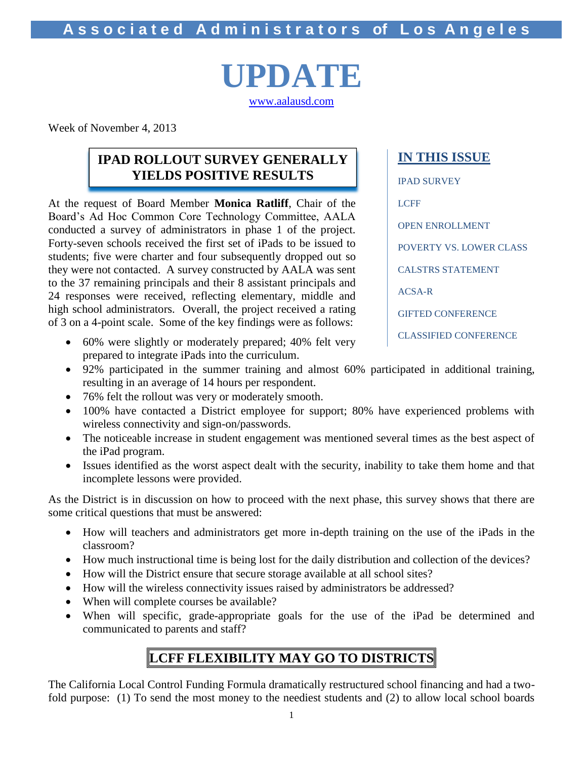**A s s o c i a t e d A d m i n i s t r a t o r s of L o s A n g e l e s**

# **UPDATE** [www.aalausd.com](http://www.aalausd.com/)

Week of November 4, 2013

### **IPAD ROLLOUT SURVEY GENERALLY YIELDS POSITIVE RESULTS**

At the request of Board Member **Monica Ratliff**, Chair of the Board's Ad Hoc Common Core Technology Committee, AALA conducted a survey of administrators in phase 1 of the project. Forty-seven schools received the first set of iPads to be issued to students; five were charter and four subsequently dropped out so they were not contacted. A survey constructed by AALA was sent to the 37 remaining principals and their 8 assistant principals and 24 responses were received, reflecting elementary, middle and high school administrators. Overall, the project received a rating of 3 on a 4-point scale. Some of the key findings were as follows: **POSITIVE RESULTS** 

- 60% were slightly or moderately prepared; 40% felt very prepared to integrate iPads into the curriculum.
- 92% participated in the summer training and almost 60% participated in additional training, resulting in an average of 14 hours per respondent.
- 76% felt the rollout was very or moderately smooth.
- 100% have contacted a District employee for support; 80% have experienced problems with wireless connectivity and sign-on/passwords.
- The noticeable increase in student engagement was mentioned several times as the best aspect of the iPad program.
- Issues identified as the worst aspect dealt with the security, inability to take them home and that incomplete lessons were provided.

As the District is in discussion on how to proceed with the next phase, this survey shows that there are some critical questions that must be answered:

- How will teachers and administrators get more in-depth training on the use of the iPads in the classroom?
- How much instructional time is being lost for the daily distribution and collection of the devices?
- How will the District ensure that secure storage available at all school sites?
- How will the wireless connectivity issues raised by administrators be addressed?
- When will complete courses be available?
- When will specific, grade-appropriate goals for the use of the iPad be determined and communicated to parents and staff?

# **LCFF FLEXIBILITY MAY GO TO DISTRICTS**

The California Local Control Funding Formula dramatically restructured school financing and had a twofold purpose: (1) To send the most money to the neediest students and (2) to allow local school boards

IPAD SURVEY LCFF OPEN ENROLLMENT POVERTY VS. LOWER CLASS CALSTRS STATEMENT ACSA-R GIFTED CONFERENCE CLASSIFIED CONFERENCE

**IN THIS ISSUE**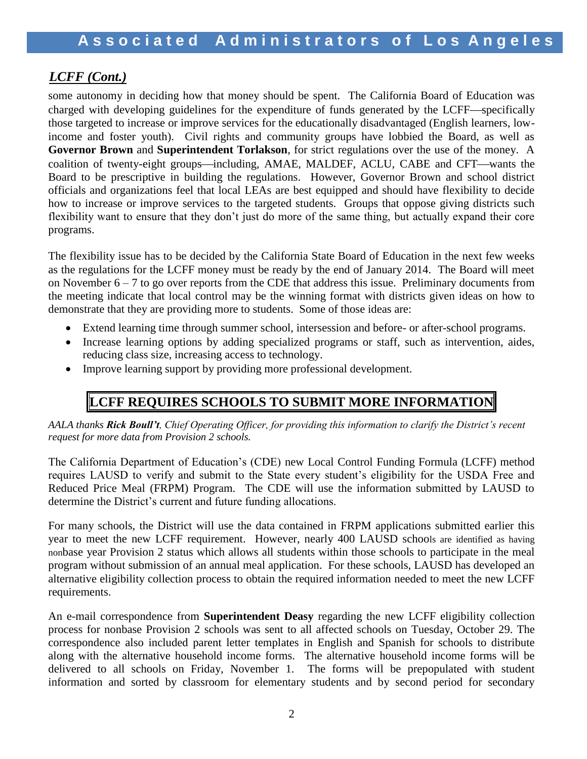### *LCFF (Cont.)*

some autonomy in deciding how that money should be spent. The California Board of Education was charged with developing guidelines for the expenditure of funds generated by the LCFF—specifically those targeted to increase or improve services for the educationally disadvantaged (English learners, lowincome and foster youth). Civil rights and community groups have lobbied the Board, as well as **Governor Brown** and **Superintendent Torlakson**, for strict regulations over the use of the money. A coalition of twenty-eight groups—including, AMAE, MALDEF, ACLU, CABE and CFT—wants the Board to be prescriptive in building the regulations. However, Governor Brown and school district officials and organizations feel that local LEAs are best equipped and should have flexibility to decide how to increase or improve services to the targeted students. Groups that oppose giving districts such flexibility want to ensure that they don't just do more of the same thing, but actually expand their core programs.

The flexibility issue has to be decided by the California State Board of Education in the next few weeks as the regulations for the LCFF money must be ready by the end of January 2014. The Board will meet on November 6 – 7 to go over reports from the CDE that address this issue. Preliminary documents from the meeting indicate that local control may be the winning format with districts given ideas on how to demonstrate that they are providing more to students. Some of those ideas are:

- Extend learning time through summer school, intersession and before- or after-school programs.
- Increase learning options by adding specialized programs or staff, such as intervention, aides, reducing class size, increasing access to technology.
- Improve learning support by providing more professional development.

# **LCFF REQUIRES SCHOOLS TO SUBMIT MORE INFORMATION**

*AALA thanks Rick Boull't, Chief Operating Officer, for providing this information to clarify the District's recent request for more data from Provision 2 schools.*

The California Department of Education's (CDE) new Local Control Funding Formula (LCFF) method requires LAUSD to verify and submit to the State every student's eligibility for the USDA Free and Reduced Price Meal (FRPM) Program. The CDE will use the information submitted by LAUSD to determine the District's current and future funding allocations.

For many schools, the District will use the data contained in FRPM applications submitted earlier this year to meet the new LCFF requirement. However, nearly 400 LAUSD schools are identified as having nonbase year Provision 2 status which allows all students within those schools to participate in the meal program without submission of an annual meal application. For these schools, LAUSD has developed an alternative eligibility collection process to obtain the required information needed to meet the new LCFF requirements.

An e-mail correspondence from **Superintendent Deasy** regarding the new LCFF eligibility collection process for nonbase Provision 2 schools was sent to all affected schools on Tuesday, October 29. The correspondence also included parent letter templates in English and Spanish for schools to distribute along with the alternative household income forms. The alternative household income forms will be delivered to all schools on Friday, November 1. The forms will be prepopulated with student information and sorted by classroom for elementary students and by second period for secondary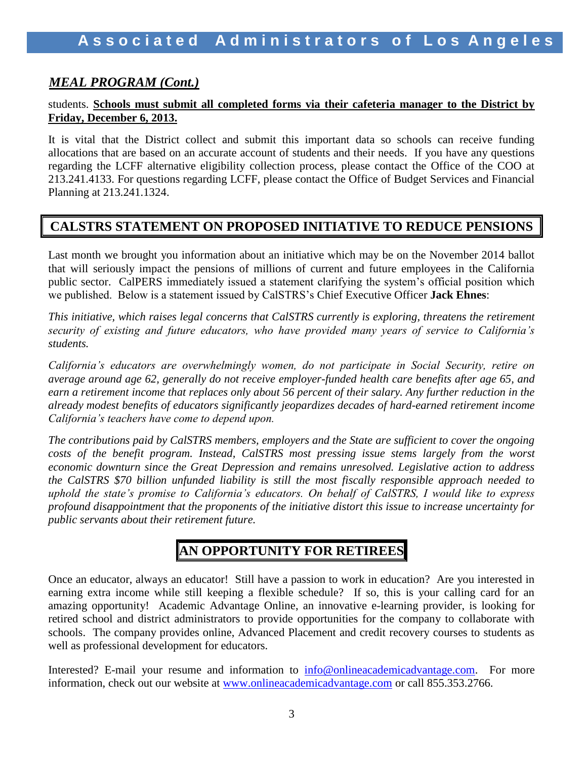### *MEAL PROGRAM (Cont.)*

#### students. **Schools must submit all completed forms via their cafeteria manager to the District by Friday, December 6, 2013.**

It is vital that the District collect and submit this important data so schools can receive funding allocations that are based on an accurate account of students and their needs. If you have any questions regarding the LCFF alternative eligibility collection process, please contact the Office of the COO at 213.241.4133. For questions regarding LCFF, please contact the Office of Budget Services and Financial Planning at 213.241.1324.

### **CALSTRS STATEMENT ON PROPOSED INITIATIVE TO REDUCE PENSIONS**

Last month we brought you information about an initiative which may be on the November 2014 ballot that will seriously impact the pensions of millions of current and future employees in the California public sector. CalPERS immediately issued a statement clarifying the system's official position which we published. Below is a statement issued by CalSTRS's Chief Executive Officer **Jack Ehnes**:

*This initiative, which raises legal concerns that CalSTRS currently is exploring, threatens the retirement security of existing and future educators, who have provided many years of service to California's students.*

*California's educators are overwhelmingly women, do not participate in Social Security, retire on average around age 62, generally do not receive employer-funded health care benefits after age 65, and earn a retirement income that replaces only about 56 percent of their salary. Any further reduction in the already modest benefits of educators significantly jeopardizes decades of hard-earned retirement income California's teachers have come to depend upon.* 

*The contributions paid by CalSTRS members, employers and the State are sufficient to cover the ongoing costs of the benefit program. Instead, CalSTRS most pressing issue stems largely from the worst economic downturn since the Great Depression and remains unresolved. Legislative action to address the CalSTRS \$70 billion unfunded liability is still the most fiscally responsible approach needed to uphold the state's promise to California's educators. On behalf of CalSTRS, I would like to express profound disappointment that the proponents of the initiative distort this issue to increase uncertainty for public servants about their retirement future.*

# **AN OPPORTUNITY FOR RETIREES**

Once an educator, always an educator! Still have a passion to work in education? Are you interested in earning extra income while still keeping a flexible schedule? If so, this is your calling card for an amazing opportunity! Academic Advantage Online, an innovative e-learning provider, is looking for retired school and district administrators to provide opportunities for the company to collaborate with schools. The company provides online, Advanced Placement and credit recovery courses to students as well as professional development for educators.

Interested? E-mail your resume and information to [info@onlineacademicadvantage.com.](mailto:info@onlineacademicadvantage.com) For more information, check out our website at [www.onlineacademicadvantage.com](http://www.onlineacademicadvantage.com/) or call 855.353.2766.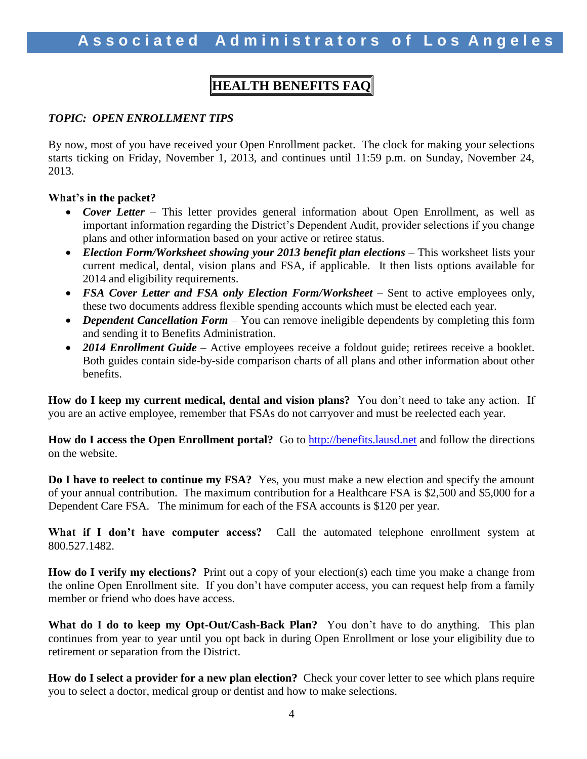# **HEALTH BENEFITS FAQ**

#### *TOPIC: OPEN ENROLLMENT TIPS*

By now, most of you have received your Open Enrollment packet. The clock for making your selections starts ticking on Friday, November 1, 2013, and continues until 11:59 p.m. on Sunday, November 24, 2013.

#### **What's in the packet?**

- *Cover Letter* This letter provides general information about Open Enrollment, as well as important information regarding the District's Dependent Audit, provider selections if you change plans and other information based on your active or retiree status.
- *Election Form/Worksheet showing your 2013 benefit plan elections –* This worksheet lists your current medical, dental, vision plans and FSA, if applicable. It then lists options available for 2014 and eligibility requirements.
- FSA Cover Letter and FSA only Election Form/Worksheet Sent to active employees only, these two documents address flexible spending accounts which must be elected each year.
- *Dependent Cancellation Form* You can remove ineligible dependents by completing this form and sending it to Benefits Administration.
- 2014 Enrollment Guide Active employees receive a foldout guide; retirees receive a booklet. Both guides contain side-by-side comparison charts of all plans and other information about other benefits.

**How do I keep my current medical, dental and vision plans?** You don't need to take any action. If you are an active employee, remember that FSAs do not carryover and must be reelected each year.

**How do I access the Open Enrollment portal?** Go to [http://benefits.lausd.net](http://benefits.lausd.net/) and follow the directions on the website.

**Do I have to reelect to continue my FSA?** Yes, you must make a new election and specify the amount of your annual contribution. The maximum contribution for a Healthcare FSA is \$2,500 and \$5,000 for a Dependent Care FSA. The minimum for each of the FSA accounts is \$120 per year.

What if I don't have computer access? Call the automated telephone enrollment system at 800.527.1482.

**How do I verify my elections?** Print out a copy of your election(s) each time you make a change from the online Open Enrollment site. If you don't have computer access, you can request help from a family member or friend who does have access.

**What do I do to keep my Opt-Out/Cash-Back Plan?** You don't have to do anything. This plan continues from year to year until you opt back in during Open Enrollment or lose your eligibility due to retirement or separation from the District.

**How do I select a provider for a new plan election?** Check your cover letter to see which plans require you to select a doctor, medical group or dentist and how to make selections.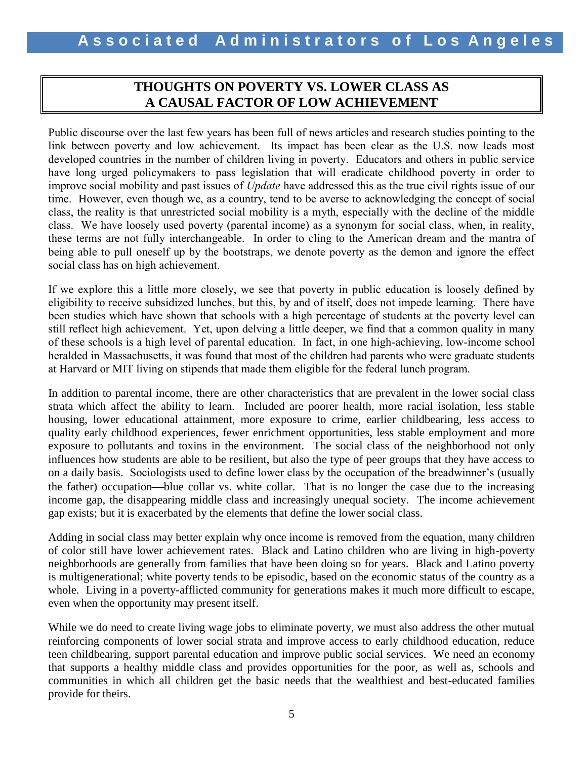### **THOUGHTS ON POVERTY VS. LOWER CLASS AS A CAUSAL FACTOR OF LOW ACHIEVEMENT**

Public discourse over the last few years has been full of news articles and research studies pointing to the link between poverty and low achievement. Its impact has been clear as the U.S. now leads most developed countries in the number of children living in poverty. Educators and others in public service have long urged policymakers to pass legislation that will eradicate childhood poverty in order to improve social mobility and past issues of *Update* have addressed this as the true civil rights issue of our time. However, even though we, as a country, tend to be averse to acknowledging the concept of social class, the reality is that unrestricted social mobility is a myth, especially with the decline of the middle class. We have loosely used poverty (parental income) as a synonym for social class, when, in reality, these terms are not fully interchangeable. In order to cling to the American dream and the mantra of being able to pull oneself up by the bootstraps, we denote poverty as the demon and ignore the effect social class has on high achievement.

If we explore this a little more closely, we see that poverty in public education is loosely defined by eligibility to receive subsidized lunches, but this, by and of itself, does not impede learning. There have been studies which have shown that schools with a high percentage of students at the poverty level can still reflect high achievement. Yet, upon delving a little deeper, we find that a common quality in many of these schools is a high level of parental education. In fact, in one high-achieving, low-income school heralded in Massachusetts, it was found that most of the children had parents who were graduate students at Harvard or MIT living on stipends that made them eligible for the federal lunch program.

In addition to parental income, there are other characteristics that are prevalent in the lower social class strata which affect the ability to learn. Included are poorer health, more racial isolation, less stable housing, lower educational attainment, more exposure to crime, earlier childbearing, less access to quality early childhood experiences, fewer enrichment opportunities, less stable employment and more exposure to pollutants and toxins in the environment. The social class of the neighborhood not only influences how students are able to be resilient, but also the type of peer groups that they have access to on a daily basis. Sociologists used to define lower class by the occupation of the breadwinner's (usually the father) occupation—blue collar vs. white collar. That is no longer the case due to the increasing income gap, the disappearing middle class and increasingly unequal society. The income achievement gap exists; but it is exacerbated by the elements that define the lower social class.

Adding in social class may better explain why once income is removed from the equation, many children of color still have lower achievement rates. Black and Latino children who are living in high-poverty neighborhoods are generally from families that have been doing so for years. Black and Latino poverty is multigenerational; white poverty tends to be episodic, based on the economic status of the country as a whole. Living in a poverty-afflicted community for generations makes it much more difficult to escape, even when the opportunity may present itself.

While we do need to create living wage jobs to eliminate poverty, we must also address the other mutual reinforcing components of lower social strata and improve access to early childhood education, reduce teen childbearing, support parental education and improve public social services. We need an economy that supports a healthy middle class and provides opportunities for the poor, as well as, schools and communities in which all children get the basic needs that the wealthiest and best-educated families provide for theirs.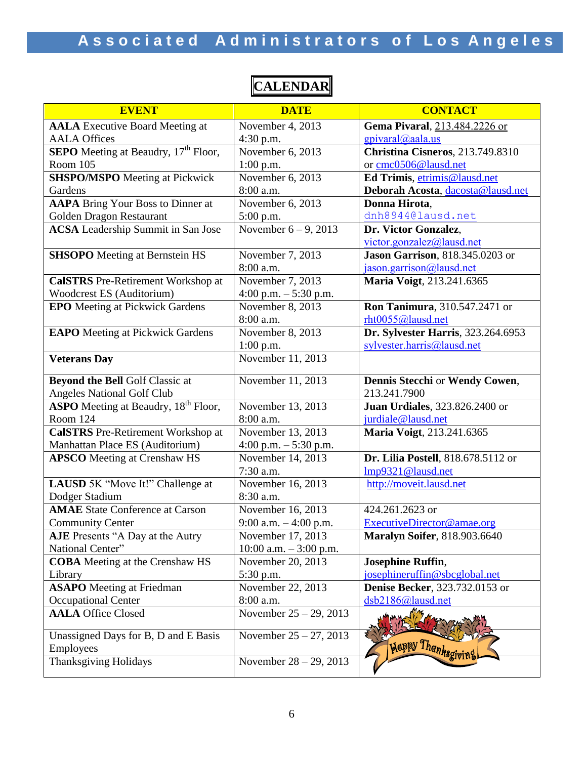| <b>EVENT</b>                                            | <b>DATE</b>               | <b>CONTACT</b>                          |
|---------------------------------------------------------|---------------------------|-----------------------------------------|
| <b>AALA</b> Executive Board Meeting at                  | November 4, 2013          | Gema Pivaral, 213.484.2226 or           |
| <b>AALA Offices</b>                                     | $4:30$ p.m.               | $g$ pivaral@aala.us                     |
| <b>SEPO</b> Meeting at Beaudry, 17 <sup>th</sup> Floor, | November 6, 2013          | Christina Cisneros, 213.749.8310        |
| Room 105                                                | $1:00$ p.m.               | or cmc0506@lausd.net                    |
| <b>SHSPO/MSPO</b> Meeting at Pickwick                   | November 6, 2013          | Ed Trimis, etrimis@lausd.net            |
| Gardens                                                 | 8:00 a.m.                 | Deborah Acosta, dacosta@lausd.net       |
| <b>AAPA</b> Bring Your Boss to Dinner at                | November 6, 2013          | Donna Hirota,                           |
| Golden Dragon Restaurant                                | 5:00 p.m.                 | dnh8944@lausd.net                       |
| <b>ACSA</b> Leadership Summit in San Jose               | November $6 - 9$ , 2013   | Dr. Victor Gonzalez,                    |
|                                                         |                           | victor.gonzalez@lausd.net               |
| <b>SHSOPO</b> Meeting at Bernstein HS                   | November 7, 2013          | <b>Jason Garrison</b> , 818.345.0203 or |
|                                                         | 8:00 a.m.                 | jason.garrison@lausd.net                |
| <b>CalSTRS</b> Pre-Retirement Workshop at               | November 7, 2013          | Maria Voigt, 213.241.6365               |
| Woodcrest ES (Auditorium)                               | 4:00 p.m. $-5:30$ p.m.    |                                         |
| <b>EPO</b> Meeting at Pickwick Gardens                  | November 8, 2013          | Ron Tanimura, 310.547.2471 or           |
|                                                         | 8:00 a.m.                 | rht0055@lausd.net                       |
| <b>EAPO</b> Meeting at Pickwick Gardens                 | November 8, 2013          | Dr. Sylvester Harris, 323.264.6953      |
|                                                         | $1:00$ p.m.               | sylvester.harris@lausd.net              |
| <b>Veterans Day</b>                                     | November 11, 2013         |                                         |
| <b>Beyond the Bell Golf Classic at</b>                  | November 11, 2013         | Dennis Stecchi or Wendy Cowen,          |
| <b>Angeles National Golf Club</b>                       |                           | 213.241.7900                            |
| <b>ASPO</b> Meeting at Beaudry, 18 <sup>th</sup> Floor, | November 13, 2013         | <b>Juan Urdiales</b> , 323.826.2400 or  |
| Room 124                                                | 8:00 a.m.                 | jurdiale@lausd.net                      |
| <b>CalSTRS</b> Pre-Retirement Workshop at               | November 13, 2013         | Maria Voigt, 213.241.6365               |
| Manhattan Place ES (Auditorium)                         | 4:00 p.m. $-5:30$ p.m.    |                                         |
| <b>APSCO</b> Meeting at Crenshaw HS                     | November 14, 2013         | Dr. Lilia Postell, 818.678.5112 or      |
|                                                         | 7:30 a.m.                 | Imp9321@lausd.net                       |
| LAUSD 5K "Move It!" Challenge at                        | November 16, 2013         | http://moveit.lausd.net                 |
| Dodger Stadium                                          | 8:30 a.m.                 |                                         |
| <b>AMAE</b> State Conference at Carson                  | November $16, 2013$       | 424.261.2623 or                         |
| <b>Community Center</b>                                 | 9:00 a.m. $-4:00$ p.m.    | ExecutiveDirector@amae.org              |
| <b>AJE</b> Presents "A Day at the Autry                 | November 17, 2013         | <b>Maralyn Soifer, 818.903.6640</b>     |
| National Center"                                        | $10:00$ a.m. $-3:00$ p.m. |                                         |
| <b>COBA</b> Meeting at the Crenshaw HS                  | November 20, 2013         | <b>Josephine Ruffin,</b>                |
| Library                                                 | 5:30 p.m.                 | josephineruffin@sbcglobal.net           |
| <b>ASAPO</b> Meeting at Friedman                        | November 22, 2013         | <b>Denise Becker</b> , 323.732.0153 or  |
| <b>Occupational Center</b>                              | 8:00 a.m.                 | dsb2186@lausd.net                       |
| <b>AALA Office Closed</b>                               | November $25 - 29$ , 2013 |                                         |
| Unassigned Days for B, D and E Basis                    | November $25 - 27$ , 2013 |                                         |
| Employees                                               |                           | Happy Thanksgivin                       |
| <b>Thanksgiving Holidays</b>                            | November $28 - 29$ , 2013 |                                         |

# **CALENDAR**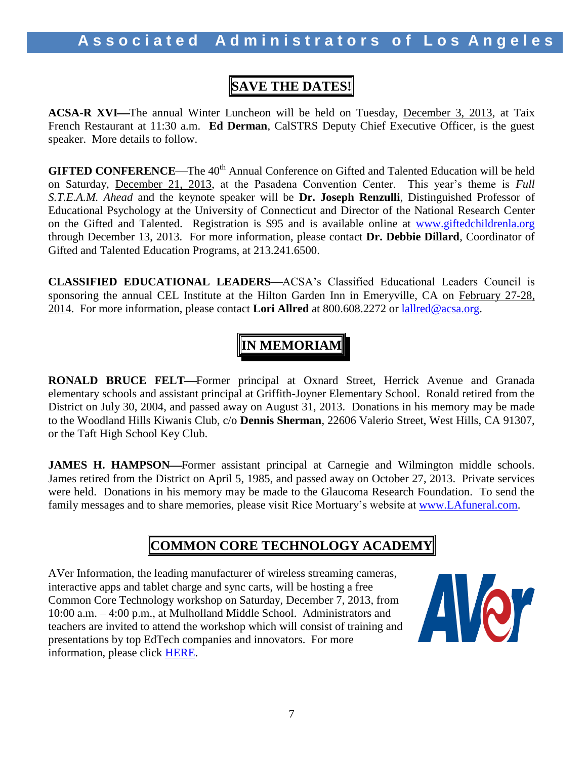# **SAVE THE DATES!**

**ACSA-R XVI—The annual Winter Luncheon will be held on Tuesday, December 3, 2013, at Taix** French Restaurant at 11:30 a.m. **Ed Derman**, CalSTRS Deputy Chief Executive Officer, is the guest speaker. More details to follow.

**GIFTED CONFERENCE**—The 40<sup>th</sup> Annual Conference on Gifted and Talented Education will be held on Saturday, December 21, 2013, at the Pasadena Convention Center. This year's theme is *Full S.T.E.A.M. Ahead* and the keynote speaker will be **Dr. Joseph Renzulli**, Distinguished Professor of Educational Psychology at the University of Connecticut and Director of the National Research Center on the Gifted and Talented. Registration is \$95 and is available online at [www.giftedchildrenla.org](http://www.giftedchildrenla.org/) through December 13, 2013. For more information, please contact **Dr. Debbie Dillard**, Coordinator of Gifted and Talented Education Programs, at 213.241.6500.

**CLASSIFIED EDUCATIONAL LEADERS—ACSA's Classified Educational Leaders Council is** sponsoring the annual CEL Institute at the Hilton Garden Inn in Emeryville, CA on February 27-28, 2014. For more information, please contact **Lori Allred** at 800.608.2272 or [lallred@acsa.org.](mailto:lallred@acsa.org)

# **IN MEMORIAM**

**RONALD BRUCE FELT—Former principal at Oxnard Street, Herrick Avenue and Granada** elementary schools and assistant principal at Griffith-Joyner Elementary School. Ronald retired from the District on July 30, 2004, and passed away on August 31, 2013. Donations in his memory may be made to the Woodland Hills Kiwanis Club, c/o **Dennis Sherman**, 22606 Valerio Street, West Hills, CA 91307, or the Taft High School Key Club.

**JAMES H. HAMPSON—Former assistant principal at Carnegie and Wilmington middle schools.** James retired from the District on April 5, 1985, and passed away on October 27, 2013. Private services were held. Donations in his memory may be made to the Glaucoma Research Foundation. To send the family messages and to share memories, please visit Rice Mortuary's website at [www.LAfuneral.com.](http://www.lafuneral.com/)

# **COMMON CORE TECHNOLOGY ACADEMY**

AVer Information, the leading manufacturer of wireless streaming cameras, interactive apps and tablet charge and sync carts, will be hosting a free Common Core Technology workshop on Saturday, December 7, 2013, from 10:00 a.m. – 4:00 p.m., at Mulholland Middle School. Administrators and teachers are invited to attend the workshop which will consist of training and presentations by top EdTech companies and innovators. For more information, please click [HERE.](http://www.aala.us/docs/2013/10/AVER_001.pdf)

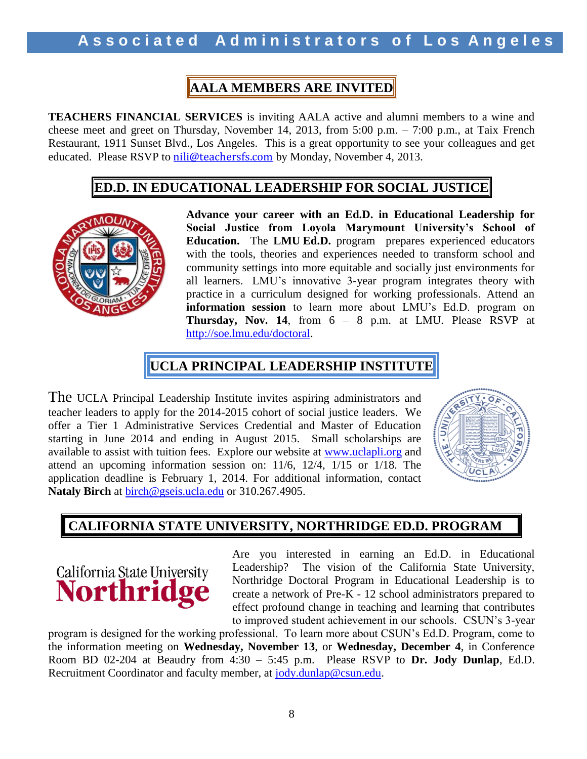# **AALA MEMBERS ARE INVITED**

**TEACHERS FINANCIAL SERVICES** is inviting AALA active and alumni members to a wine and cheese meet and greet on Thursday, November 14, 2013, from 5:00 p.m. – 7:00 p.m., at Taix French Restaurant, 1911 Sunset Blvd., Los Angeles. This is a great opportunity to see your colleagues and get educated. Please RSVP to [nili@teachersfs.com](mailto:nili@teachersfs.com) by Monday, November 4, 2013.

### **ED.D. IN EDUCATIONAL LEADERSHIP FOR SOCIAL JUSTICE**



**Advance your career with an Ed.D. in Educational Leadership for Social Justice from Loyola Marymount University's School of Education.** The **LMU Ed.D.** program prepares experienced educators with the tools, theories and experiences needed to transform school and community settings into more equitable and socially just environments for all learners. LMU's innovative 3-year program integrates theory with practice in a curriculum designed for working professionals. Attend an **information session** to learn more about LMU's Ed.D. program on **Thursday, Nov. 14**, from 6 – 8 p.m. at LMU. Please RSVP at [http://soe.lmu.edu/doctoral.](http://soe.lmu.edu/doctoral)

# **UCLA PRINCIPAL LEADERSHIP INSTITUTE**

The UCLA Principal Leadership Institute invites aspiring administrators and teacher leaders to apply for the 2014-2015 cohort of social justice leaders. We offer a Tier 1 Administrative Services Credential and Master of Education starting in June 2014 and ending in August 2015. Small scholarships are available to assist with tuition fees. Explore our website at [www.uclapli.org](http://www.uclapli.org/) and attend an upcoming information session on: 11/6, 12/4, 1/15 or 1/18. The application deadline is February 1, 2014. For additional information, contact **Nataly Birch** at [birch@gseis.ucla.edu](mailto:birch@gseis.ucla.edu) or 310.267.4905.



# **CALIFORNIA STATE UNIVERSITY, NORTHRIDGE ED.D. PROGRAM**

California State University **Northric** 

Are you interested in earning an Ed.D. in Educational Leadership? The vision of the California State University, Northridge Doctoral Program in Educational Leadership is to create a network of Pre-K - 12 school administrators prepared to effect profound change in teaching and learning that contributes to improved student achievement in our schools. CSUN's 3-year

program is designed for the working professional. To learn more about CSUN's Ed.D. Program, come to the information meeting on **Wednesday, November 13**, or **Wednesday, December 4**, in Conference Room BD 02-204 at Beaudry from 4:30 – 5:45 p.m. Please RSVP to **Dr. Jody Dunlap**, Ed.D. Recruitment Coordinator and faculty member, at [jody.dunlap@csun.edu.](mailto:jody.dunlap@csun.edu)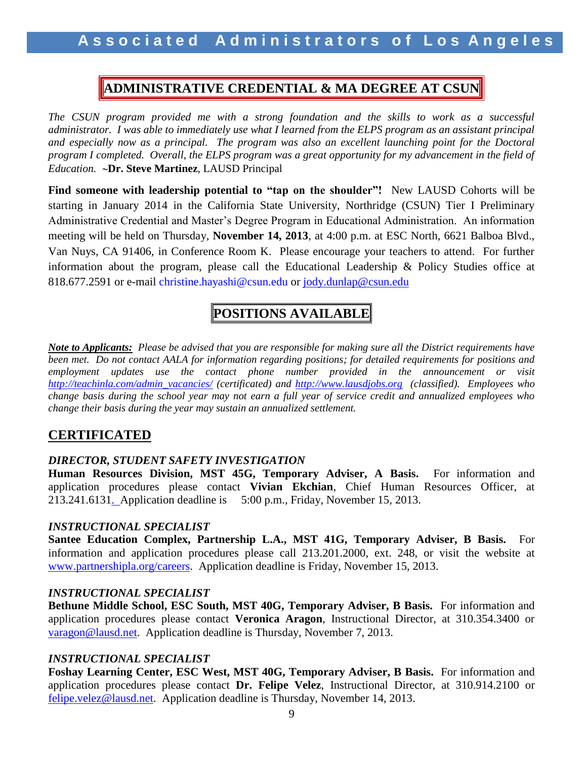# **ADMINISTRATIVE CREDENTIAL & MA DEGREE AT CSUN**

*The CSUN program provided me with a strong foundation and the skills to work as a successful administrator. I was able to immediately use what I learned from the ELPS program as an assistant principal and especially now as a principal. The program was also an excellent launching point for the Doctoral program I completed. Overall, the ELPS program was a great opportunity for my advancement in the field of Education.* **Dr. Steve Martinez**, LAUSD Principal

**Find someone with leadership potential to "tap on the shoulder"!** New LAUSD Cohorts will be starting in January 2014 in the California State University, Northridge (CSUN) Tier I Preliminary Administrative Credential and Master's Degree Program in Educational Administration. An information meeting will be held on Thursday, **November 14, 2013**, at 4:00 p.m. at ESC North, 6621 Balboa Blvd., Van Nuys, CA 91406, in Conference Room K. Please encourage your teachers to attend. For further information about the program, please call the Educational Leadership & Policy Studies office at 818.677.2591 or e-mail christine.hayashi@csun.edu or [jody.dunlap@csun.edu](mailto:jody.dunlap@csun.edu)

# **POSITIONS AVAILABLE**

*Note to Applicants: Please be advised that you are responsible for making sure all the District requirements have been met. Do not contact AALA for information regarding positions; for detailed requirements for positions and employment updates use the contact phone number provided in the announcement or visit [http://teachinla.com/admin\\_vacancies/](http://teachinla.com/admin_vacancies/) (certificated) and [http://www.lausdjobs.org](http://www.lausdjobs.org/) (classified). Employees who change basis during the school year may not earn a full year of service credit and annualized employees who change their basis during the year may sustain an annualized settlement.*

### **CERTIFICATED**

#### *DIRECTOR, STUDENT SAFETY INVESTIGATION*

**Human Resources Division, MST 45G, Temporary Adviser, A Basis.** For information and application procedures please contact **Vivian Ekchian**, Chief Human Resources Officer, at 213.241.6131. Application deadline is 5:00 p.m., Friday, November 15, 2013.

#### *INSTRUCTIONAL SPECIALIST*

**Santee Education Complex, Partnership L.A., MST 41G, Temporary Adviser, B Basis.** For information and application procedures please call 213.201.2000, ext. 248, or visit the website at [www.partnershipla.org/careers.](http://www.partnershipla.org/careers) Application deadline is Friday, November 15, 2013.

#### *INSTRUCTIONAL SPECIALIST*

**Bethune Middle School, ESC South, MST 40G, Temporary Adviser, B Basis.** For information and application procedures please contact **Veronica Aragon**, Instructional Director, at 310.354.3400 or [varagon@lausd.net.](mailto:varagon@lausd.net) Application deadline is Thursday, November 7, 2013.

### *INSTRUCTIONAL SPECIALIST*

**Foshay Learning Center, ESC West, MST 40G, Temporary Adviser, B Basis.** For information and application procedures please contact **Dr. Felipe Velez**, Instructional Director, at 310.914.2100 or [felipe.velez@lausd.net.](mailto:felipe.velez@lausd.net) Application deadline is Thursday, November 14, 2013.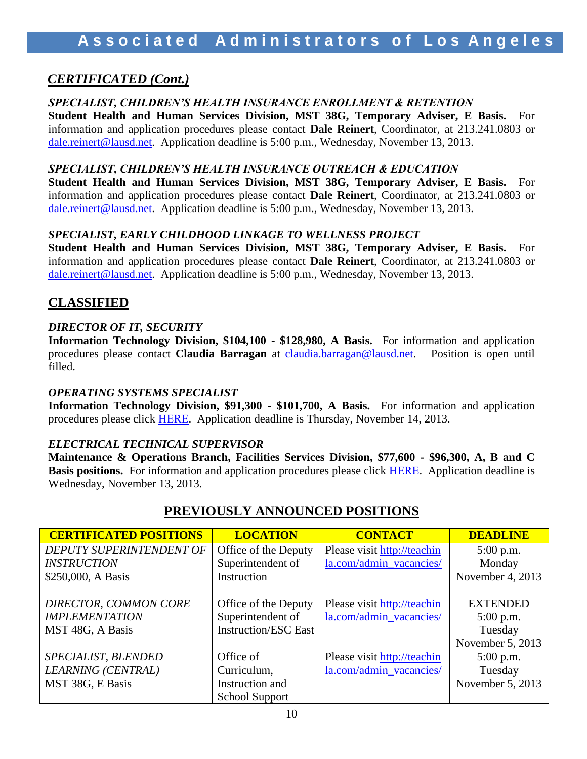## *CERTIFICATED (Cont.)*

#### *SPECIALIST, CHILDREN'S HEALTH INSURANCE ENROLLMENT & RETENTION*

**Student Health and Human Services Division, MST 38G, Temporary Adviser, E Basis.** For information and application procedures please contact **Dale Reinert**, Coordinator, at 213.241.0803 or [dale.reinert@lausd.net.](mailto:dale.reinert@lausd.net) Application deadline is 5:00 p.m., Wednesday, November 13, 2013.

#### *SPECIALIST, CHILDREN'S HEALTH INSURANCE OUTREACH & EDUCATION*

**Student Health and Human Services Division, MST 38G, Temporary Adviser, E Basis.** For information and application procedures please contact **Dale Reinert**, Coordinator, at 213.241.0803 or [dale.reinert@lausd.net.](mailto:dale.reinert@lausd.net) Application deadline is 5:00 p.m., Wednesday, November 13, 2013.

### *SPECIALIST, EARLY CHILDHOOD LINKAGE TO WELLNESS PROJECT*

**Student Health and Human Services Division, MST 38G, Temporary Adviser, E Basis.** For information and application procedures please contact **Dale Reinert**, Coordinator, at 213.241.0803 or [dale.reinert@lausd.net.](mailto:dale.reinert@lausd.net) Application deadline is 5:00 p.m., Wednesday, November 13, 2013.

## **CLASSIFIED**

### *DIRECTOR OF IT, SECURITY*

**Information Technology Division, \$104,100 - \$128,980, A Basis.** For information and application procedures please contact **Claudia Barragan** at [claudia.barragan@lausd.net.](mailto:claudia.barragan@lausd.net) Position is open until filled.

### *OPERATING SYSTEMS SPECIALIST*

**Information Technology Division, \$91,300 - \$101,700, A Basis.** For information and application procedures please click [HERE](https://btserec.lausd.net/sap(bD1lbiZjPTkxMCZkPW1pbg==)/bc/bsp/sap/zhrrcf_apply_ex/application.do?applicant=internal&BspClient=910&BspLanguage=EN&rfcContext=LAUSD). Application deadline is Thursday, November 14, 2013.

### *ELECTRICAL TECHNICAL SUPERVISOR*

**Maintenance & Operations Branch, Facilities Services Division, \$77,600 - \$96,300, A, B and C Basis positions.** For information and application procedures please click [HERE](https://btserec.lausd.net/sap(bD1lbiZjPTkxMCZkPW1pbg==)/bc/bsp/sap/zhrrcf_apply_ex/application.do?applicant=internal&BspClient=910&BspLanguage=EN&rfcContext=LAUSD). Application deadline is Wednesday, November 13, 2013.

| <b>CERTIFICATED POSITIONS</b> | <b>LOCATION</b>             | <b>CONTACT</b>              | <b>DEADLINE</b>  |
|-------------------------------|-----------------------------|-----------------------------|------------------|
| DEPUTY SUPERINTENDENT OF      | Office of the Deputy        | Please visit http://teachin | $5:00$ p.m.      |
| <b>INSTRUCTION</b>            | Superintendent of           | la.com/admin_vacancies/     | Monday           |
| \$250,000, A Basis            | Instruction                 |                             | November 4, 2013 |
|                               |                             |                             |                  |
| DIRECTOR, COMMON CORE         | Office of the Deputy        | Please visit http://teachin | <b>EXTENDED</b>  |
| <b>IMPLEMENTATION</b>         | Superintendent of           | la.com/admin_vacancies/     | $5:00$ p.m.      |
| MST 48G, A Basis              | <b>Instruction/ESC East</b> |                             | Tuesday          |
|                               |                             |                             | November 5, 2013 |
| SPECIALIST, BLENDED           | Office of                   | Please visit http://teachin | $5:00$ p.m.      |
| LEARNING (CENTRAL)            | Curriculum,                 | la.com/admin_vacancies/     | Tuesday          |
| MST 38G, E Basis              | Instruction and             |                             | November 5, 2013 |
|                               | <b>School Support</b>       |                             |                  |

# **PREVIOUSLY ANNOUNCED POSITIONS**